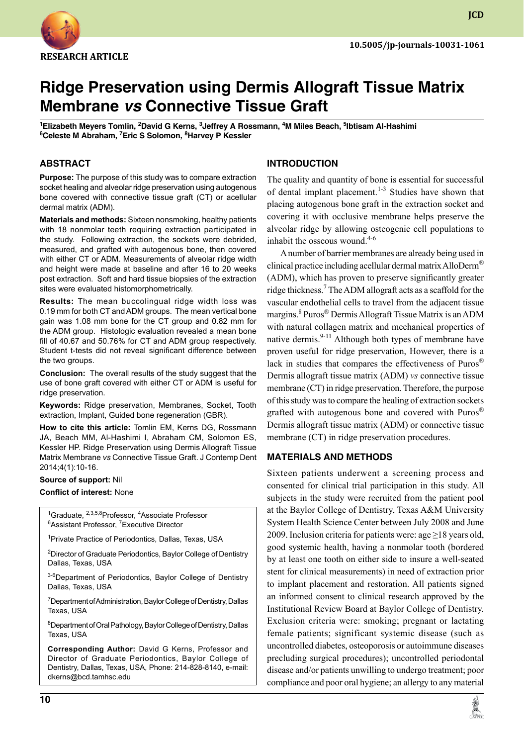

**JCD**

# **Ridge Preservation using Dermis Allograft Tissue Matrix Membrane** *vs* **Connective Tissue Graft**

**1 Elizabeth Meyers Tomlin, 2 David G Kerns, 3 Jeffrey A Rossmann, 4 M Miles Beach, 5 Ibtisam Al-Hashimi 6 Celeste M Abraham, 7 Eric S Solomon, 8 Harvey P Kessler**

## **ABSTRACT**

**Purpose:** The purpose of this study was to compare extraction socket healing and alveolar ridge preservation using autogenous bone covered with connective tissue graft (CT) or acellular dermal matrix (ADM).

**Materials and methods:** Sixteen nonsmoking, healthy patients with 18 nonmolar teeth requiring extraction participated in the study. Following extraction, the sockets were debrided, measured, and grafted with autogenous bone, then covered with either CT or ADM. Measurements of alveolar ridge width and height were made at baseline and after 16 to 20 weeks post extraction. Soft and hard tissue biopsies of the extraction sites were evaluated histomorphometrically.

**Results:** The mean buccolingual ridge width loss was 0.19 mm for both CT and ADM groups. The mean vertical bone gain was 1.08 mm bone for the CT group and 0.82 mm for the ADM group. Histologic evaluation revealed a mean bone fill of 40.67 and 50.76% for CT and ADM group respectively. Student t-tests did not reveal significant difference between the two groups.

**Conclusion:** The overall results of the study suggest that the use of bone graft covered with either CT or ADM is useful for ridge preservation.

**Keywords: Ridge preservation, Membranes, Socket, Tooth** extraction, implant, Guided bone regeneration (GBR).

**How to cite this article:** Tomlin EM, Kerns DG, Rossmann JA, Beach MM, Al-Hashimi I, Abraham CM, Solomon ES, Kessler HP. Ridge Preservation using Dermis Allograft Tissue Matrix Membrane *vs* Connective Tissue Graft. J Contemp Dent 2014;4(1):10-16.

# **Source of support:** Nil

# **Conflict of interest:** None

<sup>1</sup>Graduate, <sup>2,3,5,8</sup>Professor, <sup>4</sup>Associate Professor<br><sup>6</sup>Assistant Professor, <sup>7</sup>Executive Director Assistant Professor, <sup>7</sup>Executive Director

<sup>1</sup> Private Practice of Periodontics, Dallas, Texas, USA

<sup>2</sup>Director of Graduate Periodontics, Baylor College of Dentistry Dallas, Texas, USA

3-6Department of Periodontics, Baylor College of Dentistry Dallas, Texas, USA

<sup>7</sup>Department of Administration, Baylor College of Dentistry, Dallas Texas, USA

8 Department of Oral Pathology, Baylor College of Dentistry, Dallas Texas, USA

**Corresponding Author:** David G Kerns, Professor and Director of Graduate Periodontics, Baylor College of Dentistry, Dallas, Texas, USA, Phone: 214-828-8140, e-mail: dkerns@bcd.tamhsc.edu

# **Introduction**

The quality and quantity of bone is essential for successful of dental implant placement.<sup>1-3</sup> Studies have shown that placing autogenous bone graft in the extraction socket and covering it with occlusive membrane helps preserve the alveolar ridge by allowing osteogenic cell populations to inhabit the osseous wound. $4-6$ 

A number of barrier membranes are already being used in clinical practice including acellular dermal matrix AlloDerm® (ADM), which has proven to preserve significantly greater ridge thickness.<sup>7</sup> The ADM allograft acts as a scaffold for the vascular endothelial cells to travel from the adjacent tissue margins. <sup>8</sup> Puros® Dermis Allograft Tissue Matrix is an ADM with natural collagen matrix and mechanical properties of native dermis. $9-11$  Although both types of membrane have proven useful for ridge preservation, However, there is a lack in studies that compares the effectiveness of Puros® Dermis allograft tissue matrix (ADM) *vs* connective tissue membrane (CT) in ridge preservation. Therefore, the purpose of this study was to compare the healing of extraction sockets grafted with autogenous bone and covered with Puros® Dermis allograft tissue matrix (ADM) or connective tissue membrane (CT) in ridge preservation procedures.

#### **Materials and Methods**

Sixteen patients underwent a screening process and consented for clinical trial participation in this study. All subjects in the study were recruited from the patient pool at the Baylor College of Dentistry, Texas A&M University System Health Science Center between July 2008 and June 2009. Inclusion criteria for patients were: age ≥18 years old, good systemic health, having a nonmolar tooth (bordered by at least one tooth on either side to insure a well-seated stent for clinical measurements) in need of extraction prior to implant placement and restoration. All patients signed an informed consent to clinical research approved by the Institutional Review Board at Baylor College of Dentistry. Exclusion criteria were: smoking; pregnant or lactating female patients; significant systemic disease (such as uncontrolled diabetes, osteoporosis or autoimmune diseases precluding surgical procedures); uncontrolled periodontal disease and/or patients unwilling to undergo treatment; poor compliance and poor oral hygiene; an allergy to any material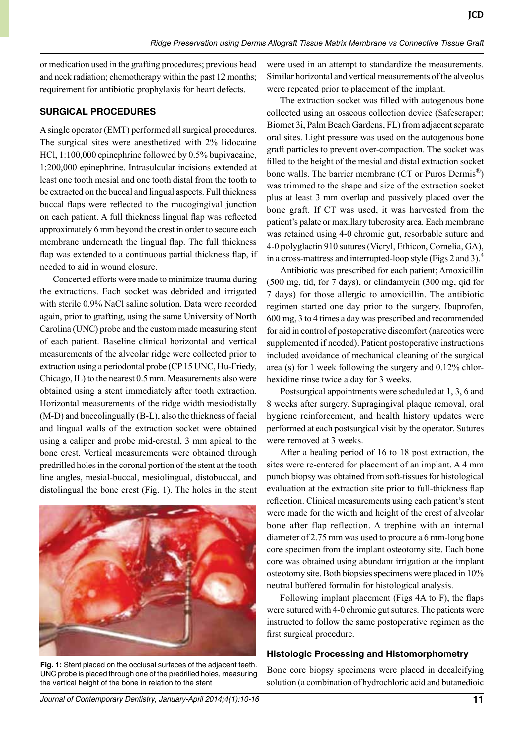or medication used in the grafting procedures; previous head and neck radiation; chemotherapy within the past 12 months; requirement for antibiotic prophylaxis for heart defects.

#### **Surgical procedures**

A single operator (EMT) performed all surgical procedures. The surgical sites were anesthetized with 2% lidocaine HCl, 1:100,000 epinephrine followed by 0.5% bupivacaine, 1:200,000 epinephrine. Intrasulcular incisions extended at least one tooth mesial and one tooth distal from the tooth to be extracted on the buccal and lingual aspects. Full thickness buccal flaps were reflected to the mucogingival junction on each patient. A full thickness lingual flap was reflected approximately 6 mm beyond the crest in order to secure each membrane underneath the lingual flap. The full thickness flap was extended to a continuous partial thickness flap, if needed to aid in wound closure.

Concerted efforts were made to minimize trauma during the extractions. Each socket was debrided and irrigated with sterile 0.9% NaCl saline solution. Data were recorded again, prior to grafting, using the same University of North Carolina (UNC) probe and the custom made measuring stent of each patient. Baseline clinical horizontal and vertical measurements of the alveolar ridge were collected prior to extraction using a periodontal probe (CP 15 UNC, Hu-Friedy, Chicago, IL) to the nearest 0.5 mm. Measurements also were obtained using a stent immediately after tooth extraction. Horizontal measurements of the ridge width mesiodistally (M-D) and buccolingually (B-L), also the thickness of facial and lingual walls of the extraction socket were obtained using a caliper and probe mid-crestal, 3 mm apical to the bone crest. Vertical measurements were obtained through predrilled holes in the coronal portion of the stent at the tooth line angles, mesial-buccal, mesiolingual, distobuccal, and distolingual the bone crest (Fig. 1). The holes in the stent



**Fig. 1:** Stent placed on the occlusal surfaces of the adjacent teeth. UNC probe is placed through one of the predrilled holes, measuring the vertical height of the bone in relation to the stent

were used in an attempt to standardize the measurements. Similar horizontal and vertical measurements of the alveolus were repeated prior to placement of the implant.

The extraction socket was filled with autogenous bone collected using an osseous collection device (Safescraper; Biomet 3i, Palm Beach Gardens, FL) from adjacent separate oral sites. Light pressure was used on the autogenous bone graft particles to prevent over-compaction. The socket was filled to the height of the mesial and distal extraction socket bone walls. The barrier membrane (CT or Puros Dermis<sup>®</sup>) was trimmed to the shape and size of the extraction socket plus at least 3 mm overlap and passively placed over the bone graft. If CT was used, it was harvested from the patient's palate or maxillary tuberosity area. Each membrane was retained using 4-0 chromic gut, resorbable suture and 4-0 polyglactin 910 sutures (Vicryl, Ethicon, Cornelia, GA), in a cross-mattress and interrupted-loop style (Figs 2 and 3).<sup>4</sup>

Antibiotic was prescribed for each patient; Amoxicillin (500 mg, tid, for 7 days), or clindamycin (300 mg, qid for 7 days) for those allergic to amoxicillin. The antibiotic regimen started one day prior to the surgery. Ibuprofen, 600 mg, 3 to 4 times a day was prescribed and recommended for aid in control of postoperative discomfort (narcotics were supplemented if needed). Patient postoperative instructions included avoidance of mechanical cleaning of the surgical area (s) for 1 week following the surgery and 0.12% chlorhexidine rinse twice a day for 3 weeks.

Postsurgical appointments were scheduled at 1, 3, 6 and 8 weeks after surgery. Supragingival plaque removal, oral hygiene reinforcement, and health history updates were performed at each postsurgical visit by the operator. Sutures were removed at 3 weeks.

After a healing period of 16 to 18 post extraction, the sites were re-entered for placement of an implant. A 4 mm punch biopsy was obtained from soft-tissues for histological evaluation at the extraction site prior to full-thickness flap reflection. Clinical measurements using each patient's stent were made for the width and height of the crest of alveolar bone after flap reflection. A trephine with an internal diameter of 2.75 mm was used to procure a 6 mm-long bone core specimen from the implant osteotomy site. Each bone core was obtained using abundant irrigation at the implant osteotomy site. Both biopsies specimens were placed in 10% neutral buffered formalin for histological analysis.

Following implant placement (Figs 4A to F), the flaps were sutured with 4-0 chromic gut sutures. The patients were instructed to follow the same postoperative regimen as the first surgical procedure.

### **Histologic Processing and Histomorphometry**

Bone core biopsy specimens were placed in decalcifying solution (a combination of hydrochloric acid and butanedioic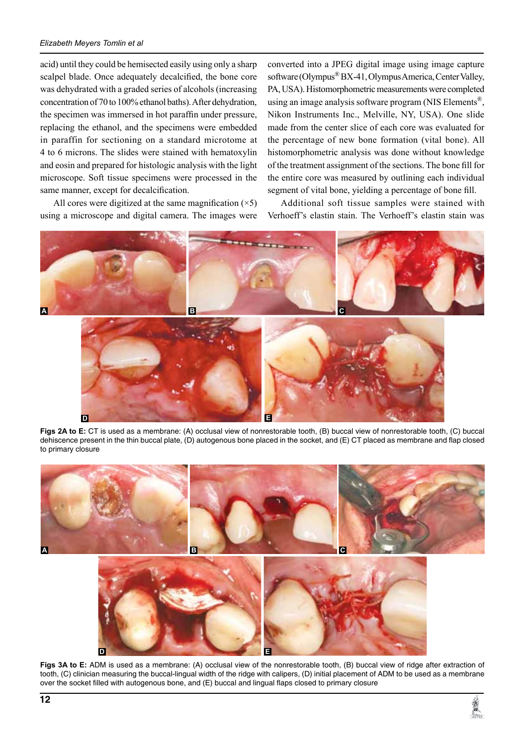#### *Elizabeth Meyers Tomlin et al*

acid) until they could be hemisected easily using only a sharp scalpel blade. Once adequately decalcified, the bone core was dehydrated with a graded series of alcohols (increasing concentration of 70 to 100% ethanol baths). After dehydration, the specimen was immersed in hot paraffin under pressure, replacing the ethanol, and the specimens were embedded in paraffin for sectioning on a standard microtome at 4 to 6 microns. The slides were stained with hematoxylin and eosin and prepared for histologic analysis with the light microscope. Soft tissue specimens were processed in the same manner, except for decalcification.

All cores were digitized at the same magnification  $(\times 5)$ using a microscope and digital camera. The images were

converted into a JPEG digital image using image capture software (Olympus<sup>®</sup> BX-41, Olympus America, Center Valley, PA, USA). Histomorphometric measurements were completed using an image analysis software program (NIS Elements<sup>®</sup>, Nikon Instruments Inc., Melville, NY, USA). One slide made from the center slice of each core was evaluated for the percentage of new bone formation (vital bone). All histomorphometric analysis was done without knowledge of the treatment assignment of the sections. The bone fill for the entire core was measured by outlining each individual segment of vital bone, yielding a percentage of bone fill.

Additional soft tissue samples were stained with Verhoeff's elastin stain. The Verhoeff's elastin stain was



Figs 2A to E: CT is used as a membrane: (A) occlusal view of nonrestorable tooth, (B) buccal view of nonrestorable tooth, (C) buccal dehiscence present in the thin buccal plate, (D) autogenous bone placed in the socket, and (E) CT placed as membrane and flap closed to primary closure



Figs 3A to E: ADM is used as a membrane: (A) occlusal view of the nonrestorable tooth, (B) buccal view of ridge after extraction of tooth, (c) clinician measuring the buccal-lingual width of the ridge with calipers, (d) initial placement of ADM to be used as a membrane over the socket filled with autogenous bone, and (E) buccal and lingual flaps closed to primary closure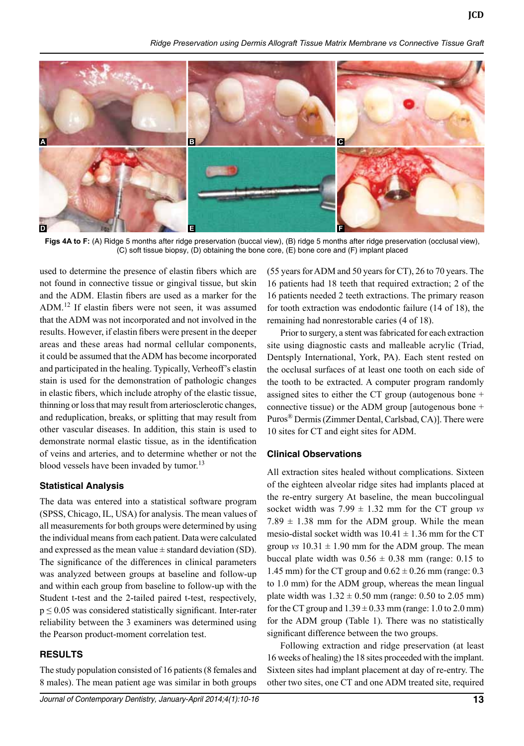*Ridge Preservation using Dermis Allograft Tissue Matrix Membrane vs Connective Tissue Graft*



Figs 4A to F: (A) Ridge 5 months after ridge preservation (buccal view), (B) ridge 5 months after ridge preservation (occlusal view),  $(C)$  soft tissue biopsy,  $(D)$  obtaining the bone core,  $(E)$  bone core and  $(F)$  implant placed

used to determine the presence of elastin fibers which are not found in connective tissue or gingival tissue, but skin and the ADM. Elastin fibers are used as a marker for the ADM.<sup>12</sup> If elastin fibers were not seen, it was assumed that the ADM was not incorporated and not involved in the results. However, if elastin fibers were present in the deeper areas and these areas had normal cellular components, it could be assumed that the ADM has become incorporated and participated in the healing. Typically, Verheoff's elastin stain is used for the demonstration of pathologic changes in elastic fibers, which include atrophy of the elastic tissue, thinning or loss that may result from arteriosclerotic changes, and reduplication, breaks, or splitting that may result from other vascular diseases. In addition, this stain is used to demonstrate normal elastic tissue, as in the identification of veins and arteries, and to determine whether or not the blood vessels have been invaded by tumor.<sup>13</sup>

#### **Statistical Analysis**

The data was entered into a statistical software program (SPSS, Chicago, IL, USA) for analysis. The mean values of all measurements for both groups were determined by using the individual means from each patient. Data were calculated and expressed as the mean value  $\pm$  standard deviation (SD). The significance of the differences in clinical parameters was analyzed between groups at baseline and follow-up and within each group from baseline to follow-up with the Student t-test and the 2-tailed paired t-test, respectively,  $p \le 0.05$  was considered statistically significant. Inter-rater reliability between the 3 examiners was determined using the Pearson product-moment correlation test.

## **Results**

The study population consisted of 16 patients (8 females and 8 males). The mean patient age was similar in both groups (55 years for ADM and 50 years for CT), 26 to 70 years. The 16 patients had 18 teeth that required extraction; 2 of the 16 patients needed 2 teeth extractions. The primary reason for tooth extraction was endodontic failure (14 of 18), the remaining had nonrestorable caries (4 of 18).

Prior to surgery, a stent was fabricated for each extraction site using diagnostic casts and malleable acrylic (Triad, Dentsply International, York, PA). Each stent rested on the occlusal surfaces of at least one tooth on each side of the tooth to be extracted. A computer program randomly assigned sites to either the CT group (autogenous bone + connective tissue) or the ADM group [autogenous bone + Puros® Dermis (Zimmer Dental, Carlsbad, CA)]. There were 10 sites for CT and eight sites for ADM.

#### **Clinical Observations**

All extraction sites healed without complications. Sixteen of the eighteen alveolar ridge sites had implants placed at the re-entry surgery At baseline, the mean buccolingual socket width was  $7.99 \pm 1.32$  mm for the CT group *vs*  $7.89 \pm 1.38$  mm for the ADM group. While the mean mesio-distal socket width was  $10.41 \pm 1.36$  mm for the CT group *vs*  $10.31 \pm 1.90$  mm for the ADM group. The mean buccal plate width was  $0.56 \pm 0.38$  mm (range: 0.15 to 1.45 mm) for the CT group and  $0.62 \pm 0.26$  mm (range: 0.3 to 1.0 mm) for the ADM group, whereas the mean lingual plate width was  $1.32 \pm 0.50$  mm (range: 0.50 to 2.05 mm) for the CT group and  $1.39 \pm 0.33$  mm (range: 1.0 to 2.0 mm) for the ADM group (Table 1). There was no statistically significant difference between the two groups.

Following extraction and ridge preservation (at least 16 weeks of healing) the 18 sites proceeded with the implant. Sixteen sites had implant placement at day of re-entry. The other two sites, one CT and one ADM treated site, required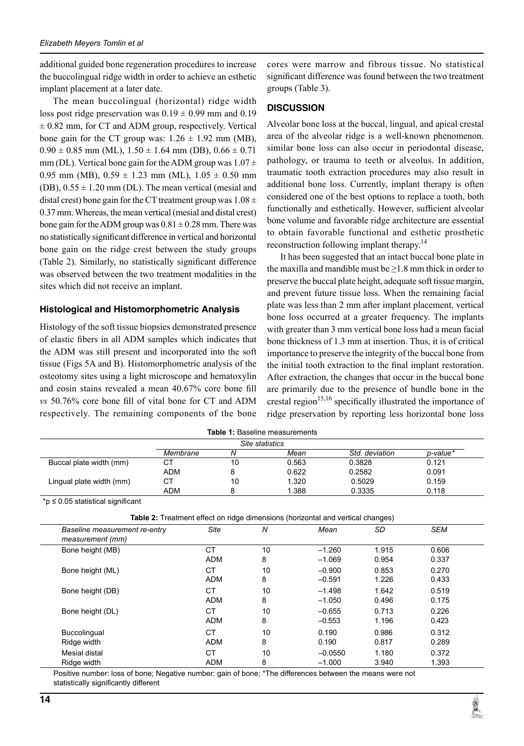additional guided bone regeneration procedures to increase the buccolingual ridge width in order to achieve an esthetic implant placement at a later date.

The mean buccolingual (horizontal) ridge width loss post ridge preservation was  $0.19 \pm 0.99$  mm and  $0.19$  $\pm$  0.82 mm, for CT and ADM group, respectively. Vertical bone gain for the CT group was:  $1.26 \pm 1.92$  mm (MB),  $0.90 \pm 0.85$  mm (ML),  $1.50 \pm 1.64$  mm (DB),  $0.66 \pm 0.71$ mm (DL). Vertical bone gain for the ADM group was  $1.07 \pm$ 0.95 mm (MB),  $0.59 \pm 1.23$  mm (ML),  $1.05 \pm 0.50$  mm (DB),  $0.55 \pm 1.20$  mm (DL). The mean vertical (mesial and distal crest) bone gain for the CT treatment group was  $1.08 \pm$ 0.37 mm. Whereas, the mean vertical (mesial and distal crest) bone gain for the ADM group was  $0.81 \pm 0.28$  mm. There was no statistically significant difference in vertical and horizontal bone gain on the ridge crest between the study groups (Table 2). Similarly, no statistically significant difference was observed between the two treatment modalities in the sites which did not receive an implant.

## **Histological and Histomorphometric Analysis**

Histology of the soft tissue biopsies demonstrated presence of elastic fibers in all ADM samples which indicates that the ADM was still present and incorporated into the soft tissue (Figs 5A and B). Histomorphometric analysis of the osteotomy sites using a light microscope and hematoxylin and eosin stains revealed a mean 40.67% core bone fill *vs* 50.76% core bone fill of vital bone for CT and ADM respectively. The remaining components of the bone

cores were marrow and fibrous tissue. No statistical significant difference was found between the two treatment groups (Table 3).

# **Discussion**

Alveolar bone loss at the buccal, lingual, and apical crestal area of the alveolar ridge is a well-known phenomenon. similar bone loss can also occur in periodontal disease, pathology, or trauma to teeth or alveolus. In addition, traumatic tooth extraction procedures may also result in additional bone loss. Currently, implant therapy is often considered one of the best options to replace a tooth, both functionally and esthetically. However, sufficient alveolar bone volume and favorable ridge architecture are essential to obtain favorable functional and esthetic prosthetic reconstruction following implant therapy.<sup>14</sup>

It has been suggested that an intact buccal bone plate in the maxilla and mandible must be  $\geq$ 1.8 mm thick in order to preserve the buccal plate height, adequate soft tissue margin, and prevent future tissue loss. When the remaining facial plate was less than 2 mm after implant placement, vertical bone loss occurred at a greater frequency. The implants with greater than 3 mm vertical bone loss had a mean facial bone thickness of 1.3 mm at insertion. Thus, it is of critical importance to preserve the integrity of the buccal bone from the initial tooth extraction to the final implant restoration. After extraction, the changes that occur in the buccal bone are primarily due to the presence of bundle bone in the crestal region<sup>15,16</sup> specifically illustrated the importance of ridge preservation by reporting less horizontal bone loss

| <b>Table 1: Baseline measurements</b> |                 |    |       |                |          |
|---------------------------------------|-----------------|----|-------|----------------|----------|
|                                       | Site statistics |    |       |                |          |
|                                       | Membrane        |    | Mean  | Std. deviation | p-value* |
| Buccal plate width (mm)               | СT              | 10 | 0.563 | 0.3828         | 0.121    |
|                                       | <b>ADM</b>      |    | 0.622 | 0.2582         | 0.091    |
| Lingual plate width (mm)              | СT              | 10 | 1.320 | 0.5029         | 0.159    |
|                                       | ADM             |    | 1.388 | 0.3335         | 0.118    |

\*p ≤ 0.05 statistical significant

**Table 2:** Treatment effect on ridge dimensions (horizontal and vertical changes)

| Baseline measurement re-entry<br>measurement (mm) | Site       | N  | Mean      | SD    | <b>SEM</b> |
|---------------------------------------------------|------------|----|-----------|-------|------------|
| Bone height (MB)                                  | СT         | 10 | $-1.260$  | 1.915 | 0.606      |
|                                                   | <b>ADM</b> | 8  | $-1.069$  | 0.954 | 0.337      |
| Bone height (ML)                                  | СT         | 10 | $-0.900$  | 0.853 | 0.270      |
|                                                   | <b>ADM</b> | 8  | $-0.591$  | 1.226 | 0.433      |
| Bone height (DB)                                  | СT         | 10 | $-1.498$  | 1.642 | 0.519      |
|                                                   | <b>ADM</b> | 8  | $-1.050$  | 0.496 | 0.175      |
| Bone height (DL)                                  | СT         | 10 | $-0.655$  | 0.713 | 0.226      |
|                                                   | <b>ADM</b> | 8  | $-0.553$  | 1.196 | 0.423      |
| Buccolingual                                      | СT         | 10 | 0.190     | 0.986 | 0.312      |
| Ridge width                                       | <b>ADM</b> | 8  | 0.190     | 0.817 | 0.289      |
| Mesial distal                                     | СT         | 10 | $-0.0550$ | 1.180 | 0.372      |
| Ridge width                                       | <b>ADM</b> | 8  | $-1.000$  | 3.940 | 1.393      |

Positive number: loss of bone; Negative number: gain of bone; \*The differences between the means were not statistically significantly different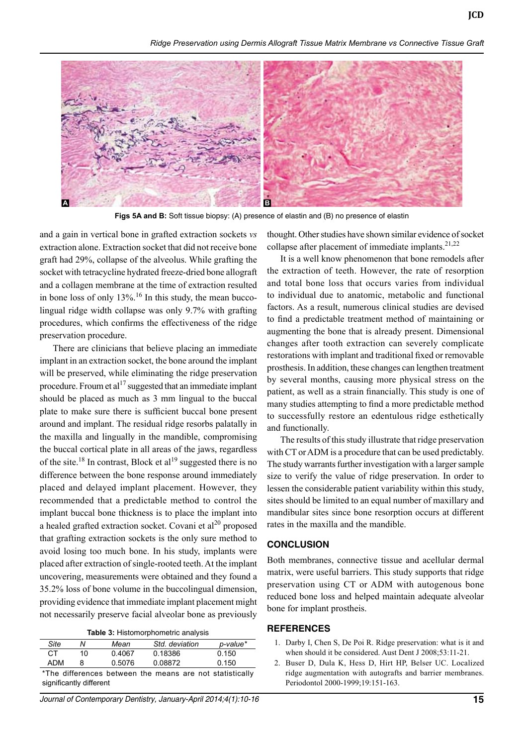*Ridge Preservation using Dermis Allograft Tissue Matrix Membrane vs Connective Tissue Graft*



**Figs 5A and B:** Soft tissue biopsy: (A) presence of elastin and (B) no presence of elastin

and a gain in vertical bone in grafted extraction sockets *vs* extraction alone. Extraction socket that did not receive bone graft had 29%, collapse of the alveolus. While grafting the socket with tetracycline hydrated freeze-dried bone allograft and a collagen membrane at the time of extraction resulted in bone loss of only  $13\%$ .<sup>16</sup> In this study, the mean buccolingual ridge width collapse was only 9.7% with grafting procedures, which confirms the effectiveness of the ridge preservation procedure.

There are clinicians that believe placing an immediate implant in an extraction socket, the bone around the implant will be preserved, while eliminating the ridge preservation procedure. Froum et al<sup>17</sup> suggested that an immediate implant should be placed as much as 3 mm lingual to the buccal plate to make sure there is sufficient buccal bone present around and implant. The residual ridge resorbs palatally in the maxilla and lingually in the mandible, compromising the buccal cortical plate in all areas of the jaws, regardless of the site.<sup>18</sup> In contrast, Block et al<sup>19</sup> suggested there is no difference between the bone response around immediately placed and delayed implant placement. However, they recommended that a predictable method to control the implant buccal bone thickness is to place the implant into a healed grafted extraction socket. Covani et  $al^{20}$  proposed that grafting extraction sockets is the only sure method to avoid losing too much bone. In his study, implants were placed after extraction of single-rooted teeth. At the implant uncovering, measurements were obtained and they found a 35.2% loss of bone volume in the buccolingual dimension, providing evidence that immediate implant placement might not necessarily preserve facial alveolar bone as previously

|  | Table 3: Histomorphometric analysis |  |
|--|-------------------------------------|--|
|--|-------------------------------------|--|

| Site   | N  | Mean   | Std. deviation | p-value* |
|--------|----|--------|----------------|----------|
| CТ     | 10 | 0.4067 | 0.18386        | 0.150    |
| ADM    |    | 0.5076 | 0.08872        | 0.150    |
| .<br>. |    |        |                | .        |

\*The differences between the means are not statistically significantly different

*Journal of Contemporary Dentistry, January-April 2014;4(1):10-16* **15**

thought. Other studies have shown similar evidence of socket collapse after placement of immediate implants. $2^{1,22}$ 

It is a well know phenomenon that bone remodels after the extraction of teeth. However, the rate of resorption and total bone loss that occurs varies from individual to individual due to anatomic, metabolic and functional factors. As a result, numerous clinical studies are devised to find a predictable treatment method of maintaining or augmenting the bone that is already present. Dimensional changes after tooth extraction can severely complicate restorations with implant and traditional fixed or removable prosthesis. In addition, these changes can lengthen treatment by several months, causing more physical stress on the patient, as well as a strain financially. This study is one of many studies attempting to find a more predictable method to successfully restore an edentulous ridge esthetically and functionally.

The results of this study illustrate that ridge preservation with CT or ADM is a procedure that can be used predictably. The study warrants further investigation with a larger sample size to verify the value of ridge preservation. In order to lessen the considerable patient variability within this study, sites should be limited to an equal number of maxillary and mandibular sites since bone resorption occurs at different rates in the maxilla and the mandible.

## **Conclusion**

Both membranes, connective tissue and acellular dermal matrix, were useful barriers. This study supports that ridge preservation using CT or ADM with autogenous bone reduced bone loss and helped maintain adequate alveolar bone for implant prostheis.

### **References**

- 1. Darby I, Chen S, De Poi R. Ridge preservation: what is it and when should it be considered. Aust Dent J 2008;53:11-21.
- 2. Buser D, Dula K, Hess D, Hirt HP, Belser UC. Localized ridge augmentation with autografts and barrier membranes. Periodontol 2000-1999;19:151-163.